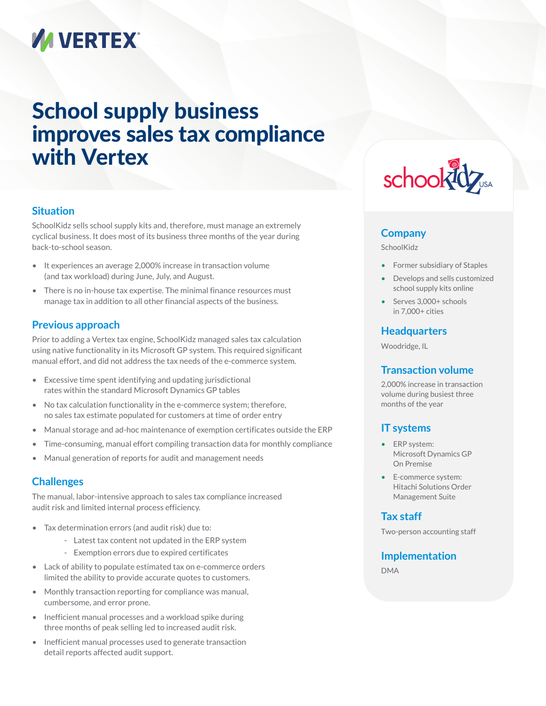# **VA VERTEX®**

# School supply business improves sales tax compliance with Vertex

#### **Situation**

SchoolKidz sells school supply kits and, therefore, must manage an extremely cyclical business. It does most of its business three months of the year during back-to-school season.

- It experiences an average 2,000% increase in transaction volume (and tax workload) during June, July, and August.
- There is no in-house tax expertise. The minimal finance resources must manage tax in addition to all other financial aspects of the business.

### **Previous approach**

Prior to adding a Vertex tax engine, SchoolKidz managed sales tax calculation using native functionality in its Microsoft GP system. This required significant manual effort, and did not address the tax needs of the e-commerce system.

- Excessive time spent identifying and updating jurisdictional rates within the standard Microsoft Dynamics GP tables
- No tax calculation functionality in the e-commerce system; therefore, no sales tax estimate populated for customers at time of order entry
- Manual storage and ad-hoc maintenance of exemption certificates outside the ERP
- Time-consuming, manual effort compiling transaction data for monthly compliance
- Manual generation of reports for audit and management needs

# **Challenges**

The manual, labor-intensive approach to sales tax compliance increased audit risk and limited internal process efficiency.

- Tax determination errors (and audit risk) due to:
	- Latest tax content not updated in the ERP system
	- Exemption errors due to expired certificates
- Lack of ability to populate estimated tax on e-commerce orders limited the ability to provide accurate quotes to customers.
- Monthly transaction reporting for compliance was manual, cumbersome, and error prone.
- Inefficient manual processes and a workload spike during three months of peak selling led to increased audit risk.
- Inefficient manual processes used to generate transaction detail reports affected audit support.



#### **Company**

SchoolKidz

- Former subsidiary of Staples
- Develops and sells customized school supply kits online
- Serves 3,000+ schools in 7,000+ cities

#### **Headquarters**

Woodridge, IL

#### **Transaction volume**

2,000% increase in transaction volume during busiest three months of the year

#### **IT systems**

- ERP system: Microsoft Dynamics GP On Premise
- E-commerce system: Hitachi Solutions Order Management Suite

#### **Tax staff**

Two-person accounting staff

#### **Implementation**

DMA